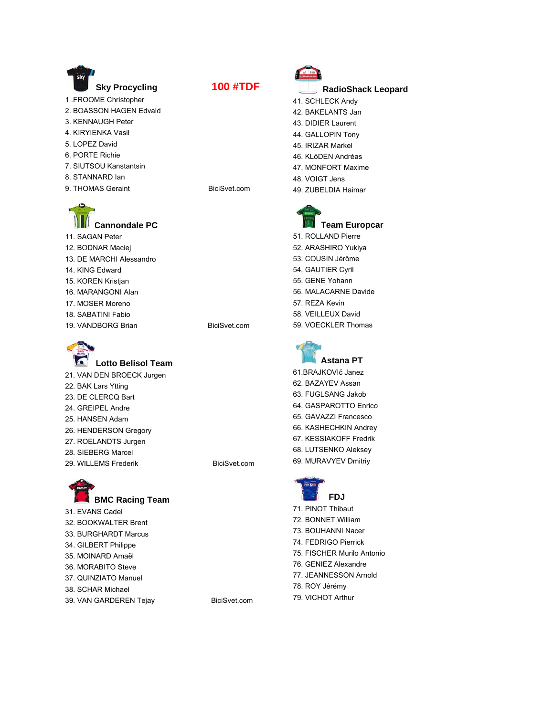

- 
- 4. [KIRYIENKA Vasil](http://www.procyclingstats.com/rider/Vasil_Kiryienka)
- 5. [LOPEZ David](http://www.procyclingstats.com/rider/David_Lopez)
- 6. [PORTE Richie](http://www.procyclingstats.com/rider/Richie_Porte)
- 7. [SIUTSOU Kanstantsin](http://www.procyclingstats.com/rider/Kanstantsin_Siutsou)
- 8. [STANNARD Ian](http://www.procyclingstats.com/rider/Ian_Stannard)
- 9. [THOMAS Geraint](http://www.procyclingstats.com/rider/Geraint_Thomas) BiciSvet.com
- 

## **[Cannondale PC](http://www.procyclingstats.com/team/Cannondale_Pro_Cycling_Team_2013)**

- 11. [SAGAN Peter](http://www.procyclingstats.com/rider/Peter_Sagan) 12. [BODNAR Maciej](http://www.procyclingstats.com/rider/Maciej_Bodnar) 13. [DE MARCHI Alessandro](http://www.procyclingstats.com/rider/Alessandro_De_Marchi)
- 14. [KING Edward](http://www.procyclingstats.com/rider/Edward_King)
- 15. [KOREN Kristjan](http://www.procyclingstats.com/rider/Kristjan_Koren)
- 16. [MARANGONI Alan](http://www.procyclingstats.com/rider/Alan_Marangoni)
- 17. [MOSER Moreno](http://www.procyclingstats.com/rider/Moreno_Moser)
- 18. [SABATINI Fabio](http://www.procyclingstats.com/rider/Fabio_Sabatini)
- 19. [VANDBORG Brian](http://www.procyclingstats.com/rider/Brian_Vandborg) BiciSvet.com



**[Lotto Belisol Team](http://www.procyclingstats.com/team/Lotto_Belisol_Team_2013)** 21. [VAN DEN BROECK Jurgen](http://www.procyclingstats.com/rider/Jurgen_Van_Den_Broeck)

- 22. [BAK Lars Ytting](http://www.procyclingstats.com/rider/Lars_Ytting_Bak)
- 23. [DE CLERCQ Bart](http://www.procyclingstats.com/rider/Bart_De_Clercq)
- 24. [GREIPEL Andre](http://www.procyclingstats.com/rider/Andre_Greipel)
- 25. [HANSEN Adam](http://www.procyclingstats.com/rider/Adam_Hansen)
- 26. [HENDERSON Gregory](http://www.procyclingstats.com/rider/Gregory_Henderson) 27. [ROELANDTS Jurgen](http://www.procyclingstats.com/rider/Jurgen_Roelandts)
- 28. [SIEBERG Marcel](http://www.procyclingstats.com/rider/Marcel_Sieberg)
- 29. [WILLEMS Frederik](http://www.procyclingstats.com/rider/Frederik_Willems) BiciSvet.com



31. [EVANS Cadel](http://www.procyclingstats.com/rider/Cadel_Evans) 32. [BOOKWALTER Brent](http://www.procyclingstats.com/rider/Brent_Bookwalter) 33. [BURGHARDT Marcus](http://www.procyclingstats.com/rider/Marcus_Burghardt) 34. [GILBERT Philippe](http://www.procyclingstats.com/rider/Philippe_Gilbert) 35. [MOINARD Amaël](http://www.procyclingstats.com/rider/Amael_Moinard) 36. [MORABITO Steve](http://www.procyclingstats.com/rider/Steve_Morabito) 37. [QUINZIATO Manuel](http://www.procyclingstats.com/rider/Manuel_Quinziato) 38. [SCHAR Michael](http://www.procyclingstats.com/rider/Michael_Schar)





- **[RadioShack Leopard](http://www.procyclingstats.com/team/Radioshack_Leopard_2013)**
- 41. [SCHLECK Andy](http://www.procyclingstats.com/rider/Andy_Schleck)
- 42. [BAKELANTS Jan](http://www.procyclingstats.com/rider/Jan_Bakelants)
- 43. [DIDIER Laurent](http://www.procyclingstats.com/rider/Laurent_Didier)
- 44. [GALLOPIN Tony](http://www.procyclingstats.com/rider/Tony_Gallopin)
- 45. [IRIZAR Markel](http://www.procyclingstats.com/rider/Markel_Irizar)
- 46. [KLöDEN Andréas](http://www.procyclingstats.com/rider/Andreas_Kloden)
- 47. [MONFORT Maxime](http://www.procyclingstats.com/rider/Maxime_Monfort)
- 48. [VOIGT Jens](http://www.procyclingstats.com/rider/Jens_Voigt)
- 49. [ZUBELDIA Haimar](http://www.procyclingstats.com/rider/Haimar_Zubeldia)



51. [ROLLAND Pierre](http://www.procyclingstats.com/rider/Pierre_Rolland) 52. [ARASHIRO Yukiya](http://www.procyclingstats.com/rider/Yukiya_Arashiro) 53. [COUSIN Jérôme](http://www.procyclingstats.com/rider/Jerome_Cousin) 54. [GAUTIER Cyril](http://www.procyclingstats.com/rider/Cyril_Gautier) 55. [GENE Yohann](http://www.procyclingstats.com/rider/Yohann_Gene) 56. [MALACARNE Davide](http://www.procyclingstats.com/rider/Davide_Malacarne) 57. [REZA Kevin](http://www.procyclingstats.com/rider/Kevin_Reza) 58. [VEILLEUX David](http://www.procyclingstats.com/rider/David_Veilleux) 59. [VOECKLER Thomas](http://www.procyclingstats.com/rider/Thomas_Voeckler) 





61[.BRAJKOVI](http://www.procyclingstats.com/rider/Janez_Brajkovic)č Janez 62. [BAZAYEV Assan](http://www.procyclingstats.com/rider/Assan_Bazayev) 63. [FUGLSANG Jakob](http://www.procyclingstats.com/rider/Jakob_Fuglsang) 64. [GASPAROTTO Enrico](http://www.procyclingstats.com/rider/Enrico_Gasparotto) 65. [GAVAZZI Francesco](http://www.procyclingstats.com/rider/Francesco_Gavazzi) 66. [KASHECHKIN Andrey](http://www.procyclingstats.com/rider/Andrey_Kashechkin) 67. [KESSIAKOFF Fredrik](http://www.procyclingstats.com/rider/Fredrik_Kessiakoff) 68. [LUTSENKO Aleksey](http://www.procyclingstats.com/rider/Aleksey_Lutsenko)

69. [MURAVYEV Dmitriy](http://www.procyclingstats.com/rider/Dmitriy_Muravyev) 



- 71. [PINOT Thibaut](http://www.procyclingstats.com/rider/Thibaut_Pinot)
- 72. [BONNET William](http://www.procyclingstats.com/rider/William_Bonnet)
- 73. [BOUHANNI Nacer](http://www.procyclingstats.com/rider/nacer_Bouhanni)
- 74. [FEDRIGO Pierrick](http://www.procyclingstats.com/rider/Pierrick_Fedrigo)
- 75. [FISCHER Murilo Antonio](http://www.procyclingstats.com/rider/Murilo_Antonio_Fischer)
- 76. [GENIEZ Alexandre](http://www.procyclingstats.com/rider/Alexandre_Geniez)
- 77. [JEANNESSON Arnold](http://www.procyclingstats.com/rider/Arnold_Jeannesson)
- 78. [ROY Jérémy](http://www.procyclingstats.com/rider/Jeremy_Roy)
- 79. [VICHOT Arthur](http://www.procyclingstats.com/rider/Arthur_Vichot)

39. [VAN GARDEREN Tejay](http://www.procyclingstats.com/rider/Tejay_Van_Garderen) BiciSvet.com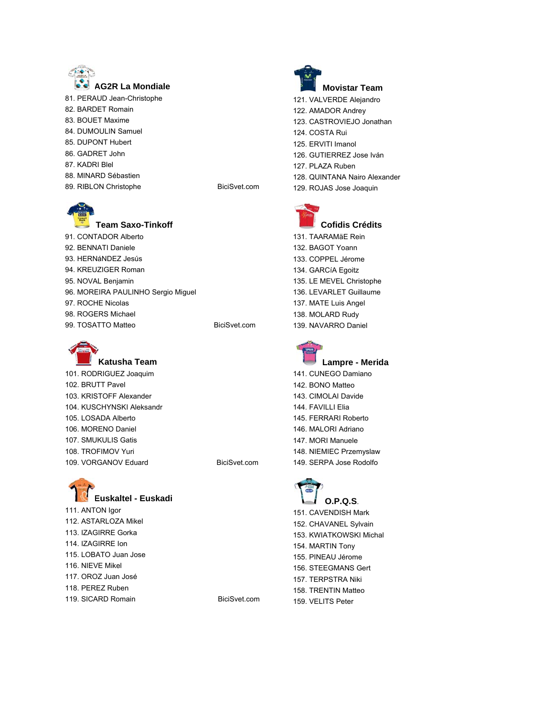

- 81. [PERAUD Jean-Christophe](http://www.procyclingstats.com/rider/Jean_christophe_Peraud)
- 82. [BARDET Romain](http://www.procyclingstats.com/rider/Romain_Bardet)
- 83. [BOUET Maxime](http://www.procyclingstats.com/rider/Maxime_Bouet)
- 84. [DUMOULIN Samuel](http://www.procyclingstats.com/rider/Samuel_Dumoulin)
- 85. [DUPONT Hubert](http://www.procyclingstats.com/rider/Hubert_Dupont)
- 86. [GADRET John](http://www.procyclingstats.com/rider/John_Gadret)
- 87. [KADRI Blel](http://www.procyclingstats.com/rider/Blel_Kadri)
- 88. [MINARD Sébastien](http://www.procyclingstats.com/rider/Sebastien_Minard)
- 89. [RIBLON Christophe](http://www.procyclingstats.com/rider/Christophe_Riblon) BiciSvet.com



## **[Team Saxo-Tinkoff](http://www.procyclingstats.com/team/Team_Saxo_tinkoff_2013)**

91. [CONTADOR Alberto](http://www.procyclingstats.com/rider/Alberto_Contador) 92. [BENNATI Daniele](http://www.procyclingstats.com/rider/Daniele_Bennati) 93. [HERNáNDEZ Jesús](http://www.procyclingstats.com/rider/Jesus_Hernandez_3) 94. [KREUZIGER Roman](http://www.procyclingstats.com/rider/Roman_Kreuziger_1) 95. [NOVAL Benjamin](http://www.procyclingstats.com/rider/Benjamin_Gonzalez_noval) 96. [MOREIRA PAULINHO Sergio Miguel](http://www.procyclingstats.com/rider/Sergio_Miguel_Moreira_Paulinho) 97. [ROCHE Nicolas](http://www.procyclingstats.com/rider/nicolas_Roche) 98. [ROGERS Michael](http://www.procyclingstats.com/rider/Michael_Rogers) 99. [TOSATTO Matteo](http://www.procyclingstats.com/rider/Matteo_Tosatto) BiciSvet.com



**[Katusha Team](http://www.procyclingstats.com/team/Katusha_Team_2013)** 101. [RODRIGUEZ Joaquim](http://www.procyclingstats.com/rider/Joaquim_Rodriguez) 102. [BRUTT Pavel](http://www.procyclingstats.com/rider/Pavel_Brutt) 103. [KRISTOFF Alexander](http://www.procyclingstats.com/rider/Alexander_Kristoff) 104. [KUSCHYNSKI Aleksandr](http://www.procyclingstats.com/rider/Aleksandr_Kuschynski) 105. [LOSADA Alberto](http://www.procyclingstats.com/rider/Alberto_Losada) 106. [MORENO Daniel](http://www.procyclingstats.com/rider/Daniel_Moreno) 107. [SMUKULIS Gatis](http://www.procyclingstats.com/rider/Gatis_Smukulis) 108. [TROFIMOV Yuri](http://www.procyclingstats.com/rider/Yuri_Trofimov) 109. [VORGANOV Eduard](http://www.procyclingstats.com/rider/Eduard_Vorganov) BiciSvet.com



111. [ANTON Igor](http://www.procyclingstats.com/rider/Igor_Anton) 112. [ASTARLOZA Mikel](http://www.procyclingstats.com/rider/Mikel_Astarloza) 113. [IZAGIRRE Gorka](http://www.procyclingstats.com/rider/Gorka_Izagirre) 114. [IZAGIRRE Ion](http://www.procyclingstats.com/rider/Ion_Izagirre) 115. [LOBATO Juan Jose](http://www.procyclingstats.com/rider/Juan_Jose_Lobato) 116. [NIEVE Mikel](http://www.procyclingstats.com/rider/Mikel_nieve) 117. [OROZ Juan José](http://www.procyclingstats.com/rider/Juan_Jose_Oroz) 118. [PEREZ Ruben](http://www.procyclingstats.com/rider/Ruben_Perez) 119. [SICARD Romain](http://www.procyclingstats.com/rider/Romain_Sicard) BiciSvet.com

**[Movistar Team](http://www.procyclingstats.com/team/Movistar_Team_2013)** 121. [VALVERDE Alejandro](http://www.procyclingstats.com/rider/Alejandro_Valverde) 122. [AMADOR Andrey](http://www.procyclingstats.com/rider/Andrey_Amador) 123. [CASTROVIEJO Jonathan](http://www.procyclingstats.com/rider/Jonathan_Castroviejo) 124. [COSTA Rui](http://www.procyclingstats.com/rider/Rui_Costa) 125. [ERVITI Imanol](http://www.procyclingstats.com/rider/Imanol_Erviti) 126. [GUTIERREZ Jose Iván](http://www.procyclingstats.com/rider/Ivan_Gutierrez) 127. [PLAZA Ruben](http://www.procyclingstats.com/rider/Ruben_Plaza) 128. [QUINTANA Nairo Alexander](http://www.procyclingstats.com/rider/nairo_Alexander_Quintana) 129. [ROJAS Jose Joaquin](http://www.procyclingstats.com/rider/Jose_Joaquin_Rojas) 





131. [TAARAMäE Rein](http://www.procyclingstats.com/rider/Rein_Taaramae) 132. [BAGOT Yoann](http://www.procyclingstats.com/rider/Yoann_Bagot) 133. [COPPEL Jérome](http://www.procyclingstats.com/rider/Jerome_Coppel) 134. [GARCíA Egoitz](http://www.procyclingstats.com/rider/Egoitz_Garcia) 135. [LE MEVEL Christophe](http://www.procyclingstats.com/rider/Christophe_Le_Mevel) 136. [LEVARLET Guillaume](http://www.procyclingstats.com/rider/Guillaume_Levarlet) 137. [MATE Luis Angel](http://www.procyclingstats.com/rider/Luis_Angel_Mate) 138. [MOLARD Rudy](http://www.procyclingstats.com/rider/Rudy_Molard) 139. [NAVARRO Daniel](http://www.procyclingstats.com/rider/Daniel_navarro) 



- 141. [CUNEGO Damiano](http://www.procyclingstats.com/rider/Damiano_Cunego) 142. [BONO Matteo](http://www.procyclingstats.com/rider/Matteo_Bono) 143. [CIMOLAI Davide](http://www.procyclingstats.com/rider/Davide_Cimolai) 144. [FAVILLI Elia](http://www.procyclingstats.com/rider/Elia_Favilli) 145. [FERRARI Roberto](http://www.procyclingstats.com/rider/Roberto_Ferrari) 146. [MALORI Adriano](http://www.procyclingstats.com/rider/Adriano_Malori) 147. [MORI Manuele](http://www.procyclingstats.com/rider/Manuele_Mori) 148. [NIEMIEC Przemyslaw](http://www.procyclingstats.com/rider/Przemyslaw_niemiec)
- 149. [SERPA Jose Rodolfo](http://www.procyclingstats.com/rider/Jose_Rodolfo_Serpa)



151. [CAVENDISH Mark](http://www.procyclingstats.com/rider/Mark_Cavendish) 152. [CHAVANEL Sylvain](http://www.procyclingstats.com/rider/Sylvain_Chavanel) 153. [KWIATKOWSKI Michal](http://www.procyclingstats.com/rider/Michal_Kwiatkowski) 154. [MARTIN Tony](http://www.procyclingstats.com/rider/Tony_Martin) 155. [PINEAU Jérome](http://www.procyclingstats.com/rider/Jerome_Pineau) 156. [STEEGMANS Gert](http://www.procyclingstats.com/rider/Gert_Steegmans) 157. [TERPSTRA Niki](http://www.procyclingstats.com/rider/niki_Terpstra) 158. [TRENTIN Matteo](http://www.procyclingstats.com/rider/Matteo_Trentin) 159. [VELITS Peter](http://www.procyclingstats.com/rider/Peter_Velits)